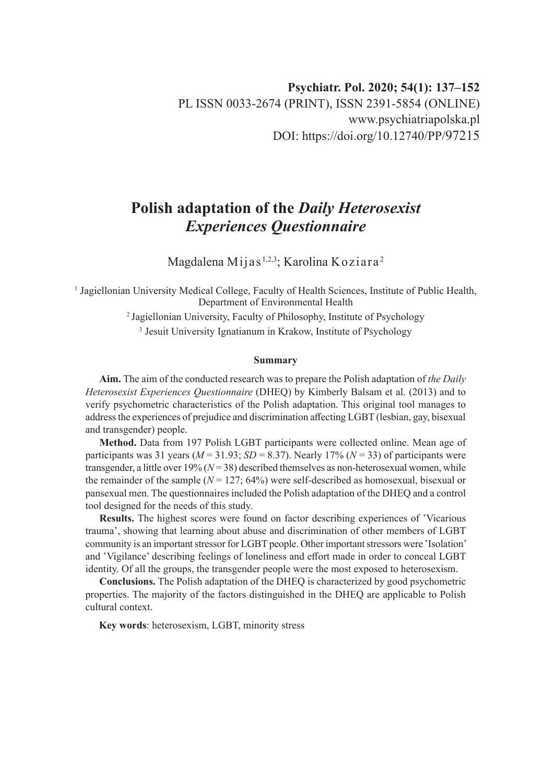# **Polish adaptation of the** *Daily Heterosexist Experiences Questionnaire*

Magdalena Mijas 1,2,3; Karolina Koziara <sup>2</sup>

1 Jagiellonian University Medical College, Faculty of Health Sciences, Institute of Public Health, Department of Environmental Health

2 Jagiellonian University, Faculty of Philosophy, Institute of Psychology

3 Jesuit University Ignatianum in Krakow, Institute of Psychology

#### **Summary**

**Aim.** The aim of the conducted research was to prepare the Polish adaptation of *the Daily Heterosexist Experiences Questionnaire* (DHEQ) by Kimberly Balsam et al. (2013) and to verify psychometric characteristics of the Polish adaptation. This original tool manages to address the experiences of prejudice and discrimination affecting LGBT (lesbian, gay, bisexual and transgender) people.

**Method.** Data from 197 Polish LGBT participants were collected online. Mean age of participants was 31 years ( $M = 31.93$ ;  $SD = 8.37$ ). Nearly 17% ( $N = 33$ ) of participants were transgender, a little over  $19\%$  ( $N=38$ ) described themselves as non-heterosexual women, while the remainder of the sample  $(N = 127; 64%)$  were self-described as homosexual, bisexual or pansexual men. The questionnaires included the Polish adaptation of the DHEQ and a control tool designed for the needs of this study.

**Results.** The highest scores were found on factor describing experiences of 'Vicarious trauma', showing that learning about abuse and discrimination of other members of LGBT community is an important stressor for LGBT people. Other important stressors were 'Isolation' and 'Vigilance' describing feelings of loneliness and effort made in order to conceal LGBT identity. Of all the groups, the transgender people were the most exposed to heterosexism.

**Conclusions.** The Polish adaptation of the DHEQ is characterized by good psychometric properties. The majority of the factors distinguished in the DHEQ are applicable to Polish cultural context.

**Key words**: heterosexism, LGBT, minority stress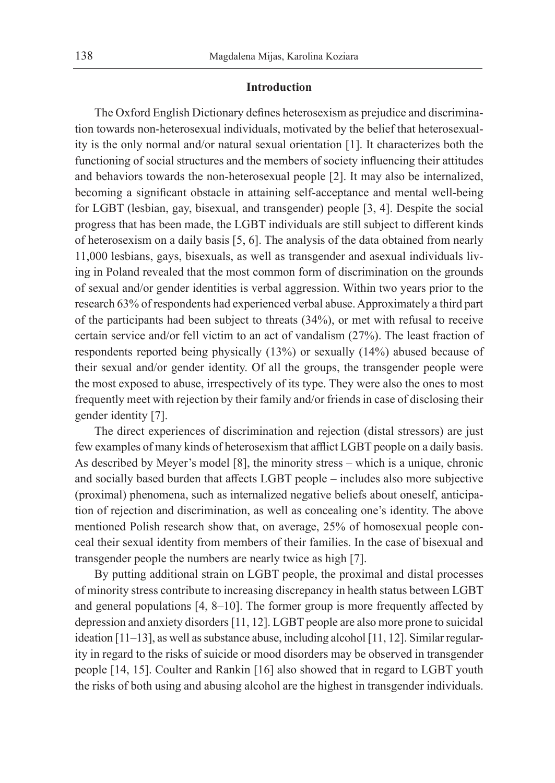#### **Introduction**

The Oxford English Dictionary defines heterosexism as prejudice and discrimination towards non-heterosexual individuals, motivated by the belief that heterosexuality is the only normal and/or natural sexual orientation [1]. It characterizes both the functioning of social structures and the members of society influencing their attitudes and behaviors towards the non-heterosexual people [2]. It may also be internalized, becoming a significant obstacle in attaining self-acceptance and mental well-being for LGBT (lesbian, gay, bisexual, and transgender) people [3, 4]. Despite the social progress that has been made, the LGBT individuals are still subject to different kinds of heterosexism on a daily basis [5, 6]. The analysis of the data obtained from nearly 11,000 lesbians, gays, bisexuals, as well as transgender and asexual individuals living in Poland revealed that the most common form of discrimination on the grounds of sexual and/or gender identities is verbal aggression. Within two years prior to the research 63% of respondents had experienced verbal abuse. Approximately a third part of the participants had been subject to threats (34%), or met with refusal to receive certain service and/or fell victim to an act of vandalism (27%). The least fraction of respondents reported being physically (13%) or sexually (14%) abused because of their sexual and/or gender identity. Of all the groups, the transgender people were the most exposed to abuse, irrespectively of its type. They were also the ones to most frequently meet with rejection by their family and/or friends in case of disclosing their gender identity [7].

The direct experiences of discrimination and rejection (distal stressors) are just few examples of many kinds of heterosexism that afflict LGBT people on a daily basis. As described by Meyer's model [8], the minority stress – which is a unique, chronic and socially based burden that affects LGBT people – includes also more subjective (proximal) phenomena, such as internalized negative beliefs about oneself, anticipation of rejection and discrimination, as well as concealing one's identity. The above mentioned Polish research show that, on average, 25% of homosexual people conceal their sexual identity from members of their families. In the case of bisexual and transgender people the numbers are nearly twice as high [7].

By putting additional strain on LGBT people, the proximal and distal processes of minority stress contribute to increasing discrepancy in health status between LGBT and general populations [4, 8–10]. The former group is more frequently affected by depression and anxiety disorders [11, 12]. LGBT people are also more prone to suicidal ideation [11–13], as well as substance abuse, including alcohol [11, 12]. Similar regularity in regard to the risks of suicide or mood disorders may be observed in transgender people [14, 15]. Coulter and Rankin [16] also showed that in regard to LGBT youth the risks of both using and abusing alcohol are the highest in transgender individuals.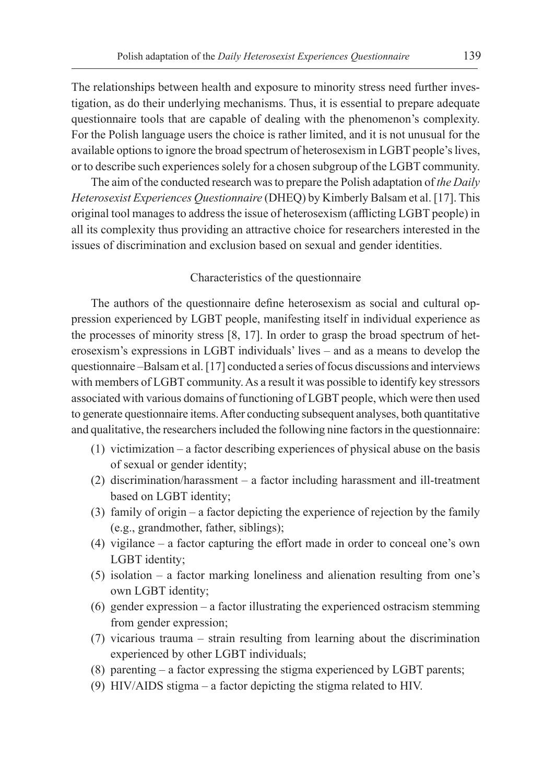The relationships between health and exposure to minority stress need further investigation, as do their underlying mechanisms. Thus, it is essential to prepare adequate questionnaire tools that are capable of dealing with the phenomenon's complexity. For the Polish language users the choice is rather limited, and it is not unusual for the available options to ignore the broad spectrum of heterosexism in LGBT people's lives, or to describe such experiences solely for a chosen subgroup of the LGBT community.

The aim of the conducted research was to prepare the Polish adaptation of *the Daily Heterosexist Experiences Questionnaire* (DHEQ) by Kimberly Balsam et al. [17]. This original tool manages to address the issue of heterosexism (afflicting LGBT people) in all its complexity thus providing an attractive choice for researchers interested in the issues of discrimination and exclusion based on sexual and gender identities.

#### Characteristics of the questionnaire

The authors of the questionnaire define heterosexism as social and cultural oppression experienced by LGBT people, manifesting itself in individual experience as the processes of minority stress [8, 17]. In order to grasp the broad spectrum of heterosexism's expressions in LGBT individuals' lives – and as a means to develop the questionnaire –Balsam et al. [17] conducted a series of focus discussions and interviews with members of LGBT community. As a result it was possible to identify key stressors associated with various domains of functioning of LGBT people, which were then used to generate questionnaire items. After conducting subsequent analyses, both quantitative and qualitative, the researchers included the following nine factors in the questionnaire:

- (1) victimization a factor describing experiences of physical abuse on the basis of sexual or gender identity;
- (2) discrimination/harassment a factor including harassment and ill-treatment based on LGBT identity;
- (3) family of origin a factor depicting the experience of rejection by the family (e.g., grandmother, father, siblings);
- (4) vigilance a factor capturing the effort made in order to conceal one's own LGBT identity;
- (5) isolation a factor marking loneliness and alienation resulting from one's own LGBT identity;
- (6) gender expression a factor illustrating the experienced ostracism stemming from gender expression;
- (7) vicarious trauma strain resulting from learning about the discrimination experienced by other LGBT individuals;
- (8) parenting a factor expressing the stigma experienced by LGBT parents;
- (9) HIV/AIDS stigma a factor depicting the stigma related to HIV.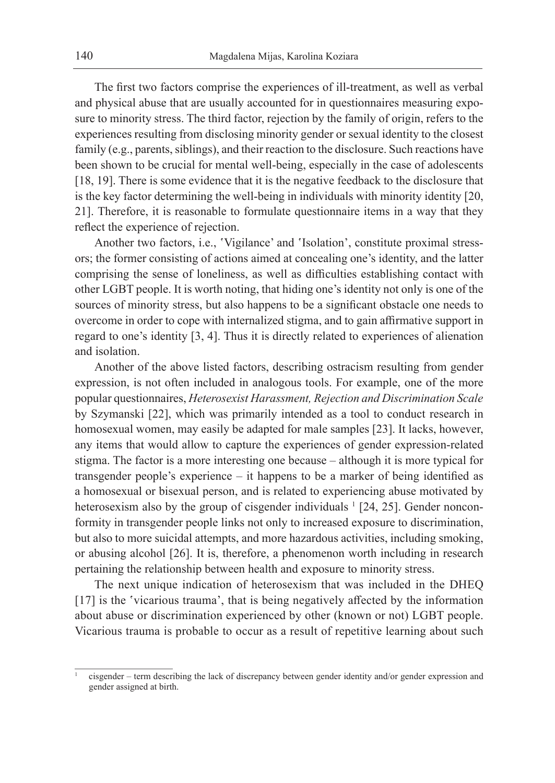The first two factors comprise the experiences of ill-treatment, as well as verbal and physical abuse that are usually accounted for in questionnaires measuring exposure to minority stress. The third factor, rejection by the family of origin, refers to the experiences resulting from disclosing minority gender or sexual identity to the closest family (e.g., parents, siblings), and their reaction to the disclosure. Such reactions have been shown to be crucial for mental well-being, especially in the case of adolescents [18, 19]. There is some evidence that it is the negative feedback to the disclosure that is the key factor determining the well-being in individuals with minority identity [20, 21]. Therefore, it is reasonable to formulate questionnaire items in a way that they reflect the experience of rejection.

Another two factors, i.e., 'Vigilance' and 'Isolation', constitute proximal stressors; the former consisting of actions aimed at concealing one's identity, and the latter comprising the sense of loneliness, as well as difficulties establishing contact with other LGBT people. It is worth noting, that hiding one's identity not only is one of the sources of minority stress, but also happens to be a significant obstacle one needs to overcome in order to cope with internalized stigma, and to gain affirmative support in regard to one's identity [3, 4]. Thus it is directly related to experiences of alienation and isolation.

Another of the above listed factors, describing ostracism resulting from gender expression, is not often included in analogous tools. For example, one of the more popular questionnaires, *Heterosexist Harassment, Rejection and Discrimination Scale* by Szymanski [22], which was primarily intended as a tool to conduct research in homosexual women, may easily be adapted for male samples [23]. It lacks, however, any items that would allow to capture the experiences of gender expression-related stigma. The factor is a more interesting one because – although it is more typical for transgender people's experience – it happens to be a marker of being identified as a homosexual or bisexual person, and is related to experiencing abuse motivated by heterosexism also by the group of cisgender individuals <sup>1</sup> [24, 25]. Gender nonconformity in transgender people links not only to increased exposure to discrimination, but also to more suicidal attempts, and more hazardous activities, including smoking, or abusing alcohol [26]. It is, therefore, a phenomenon worth including in research pertaining the relationship between health and exposure to minority stress.

The next unique indication of heterosexism that was included in the DHEQ [17] is the 'vicarious trauma', that is being negatively affected by the information about abuse or discrimination experienced by other (known or not) LGBT people. Vicarious trauma is probable to occur as a result of repetitive learning about such

<sup>1</sup> cisgender – term describing the lack of discrepancy between gender identity and/or gender expression and gender assigned at birth.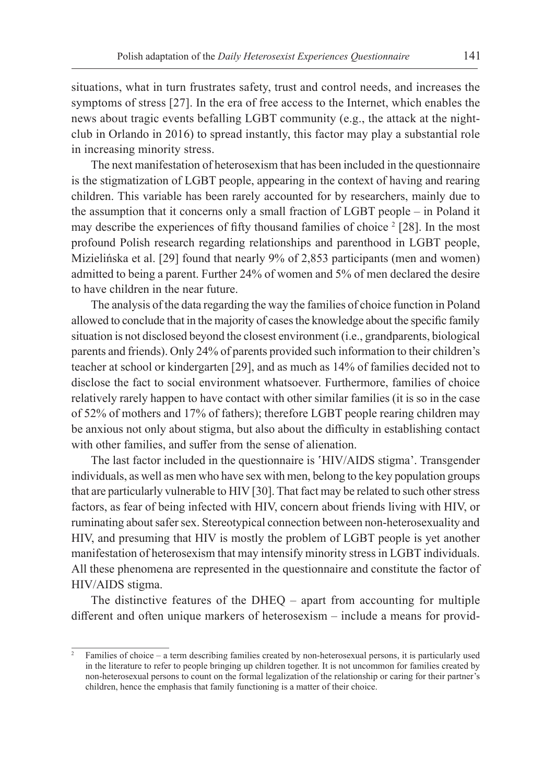situations, what in turn frustrates safety, trust and control needs, and increases the symptoms of stress [27]. In the era of free access to the Internet, which enables the news about tragic events befalling LGBT community (e.g., the attack at the nightclub in Orlando in 2016) to spread instantly, this factor may play a substantial role in increasing minority stress.

The next manifestation of heterosexism that has been included in the questionnaire is the stigmatization of LGBT people, appearing in the context of having and rearing children. This variable has been rarely accounted for by researchers, mainly due to the assumption that it concerns only a small fraction of LGBT people – in Poland it may describe the experiences of fifty thousand families of choice  $2$  [28]. In the most profound Polish research regarding relationships and parenthood in LGBT people, Mizielińska et al. [29] found that nearly 9% of 2,853 participants (men and women) admitted to being a parent. Further 24% of women and 5% of men declared the desire to have children in the near future.

The analysis of the data regarding the way the families of choice function in Poland allowed to conclude that in the majority of cases the knowledge about the specific family situation is not disclosed beyond the closest environment (i.e., grandparents, biological parents and friends). Only 24% of parents provided such information to their children's teacher at school or kindergarten [29], and as much as 14% of families decided not to disclose the fact to social environment whatsoever. Furthermore, families of choice relatively rarely happen to have contact with other similar families (it is so in the case of 52% of mothers and 17% of fathers); therefore LGBT people rearing children may be anxious not only about stigma, but also about the difficulty in establishing contact with other families, and suffer from the sense of alienation.

The last factor included in the questionnaire is 'HIV/AIDS stigma'. Transgender individuals, as well as men who have sex with men, belong to the key population groups that are particularly vulnerable to HIV [30]. That fact may be related to such other stress factors, as fear of being infected with HIV, concern about friends living with HIV, or ruminating about safer sex. Stereotypical connection between non-heterosexuality and HIV, and presuming that HIV is mostly the problem of LGBT people is yet another manifestation of heterosexism that may intensify minority stress in LGBT individuals. All these phenomena are represented in the questionnaire and constitute the factor of HIV/AIDS stigma.

The distinctive features of the DHEQ – apart from accounting for multiple different and often unique markers of heterosexism – include a means for provid-

<sup>2</sup> Families of choice – a term describing families created by non-heterosexual persons, it is particularly used in the literature to refer to people bringing up children together. It is not uncommon for families created by non-heterosexual persons to count on the formal legalization of the relationship or caring for their partner's children, hence the emphasis that family functioning is a matter of their choice.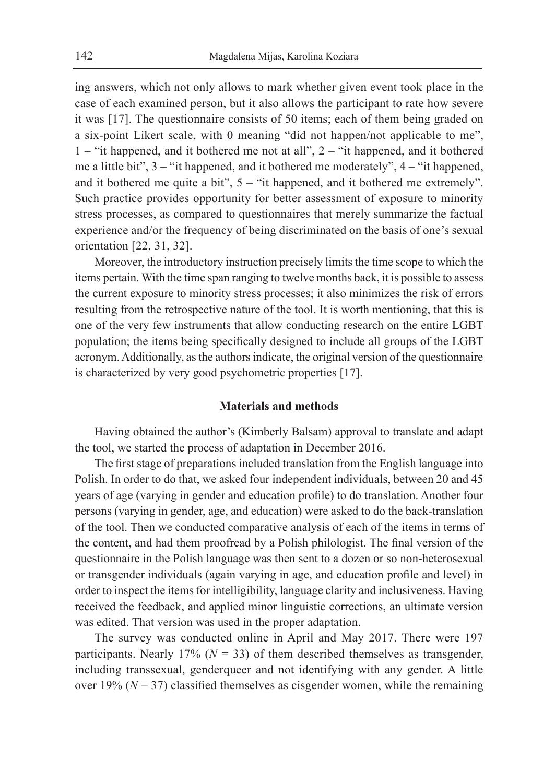ing answers, which not only allows to mark whether given event took place in the case of each examined person, but it also allows the participant to rate how severe it was [17]. The questionnaire consists of 50 items; each of them being graded on a six-point Likert scale, with 0 meaning "did not happen/not applicable to me", 1 – "it happened, and it bothered me not at all", 2 – "it happened, and it bothered me a little bit", 3 – "it happened, and it bothered me moderately", 4 – "it happened, and it bothered me quite a bit", 5 – "it happened, and it bothered me extremely". Such practice provides opportunity for better assessment of exposure to minority stress processes, as compared to questionnaires that merely summarize the factual experience and/or the frequency of being discriminated on the basis of one's sexual orientation [22, 31, 32].

Moreover, the introductory instruction precisely limits the time scope to which the items pertain. With the time span ranging to twelve months back, it is possible to assess the current exposure to minority stress processes; it also minimizes the risk of errors resulting from the retrospective nature of the tool. It is worth mentioning, that this is one of the very few instruments that allow conducting research on the entire LGBT population; the items being specifically designed to include all groups of the LGBT acronym. Additionally, as the authors indicate, the original version of the questionnaire is characterized by very good psychometric properties [17].

# **Materials and methods**

Having obtained the author's (Kimberly Balsam) approval to translate and adapt the tool, we started the process of adaptation in December 2016.

The first stage of preparations included translation from the English language into Polish. In order to do that, we asked four independent individuals, between 20 and 45 years of age (varying in gender and education profile) to do translation. Another four persons (varying in gender, age, and education) were asked to do the back-translation of the tool. Then we conducted comparative analysis of each of the items in terms of the content, and had them proofread by a Polish philologist. The final version of the questionnaire in the Polish language was then sent to a dozen or so non-heterosexual or transgender individuals (again varying in age, and education profile and level) in order to inspect the items for intelligibility, language clarity and inclusiveness. Having received the feedback, and applied minor linguistic corrections, an ultimate version was edited. That version was used in the proper adaptation.

The survey was conducted online in April and May 2017. There were 197 participants. Nearly 17% ( $N = 33$ ) of them described themselves as transgender, including transsexual, genderqueer and not identifying with any gender. A little over 19%  $(N = 37)$  classified themselves as cisgender women, while the remaining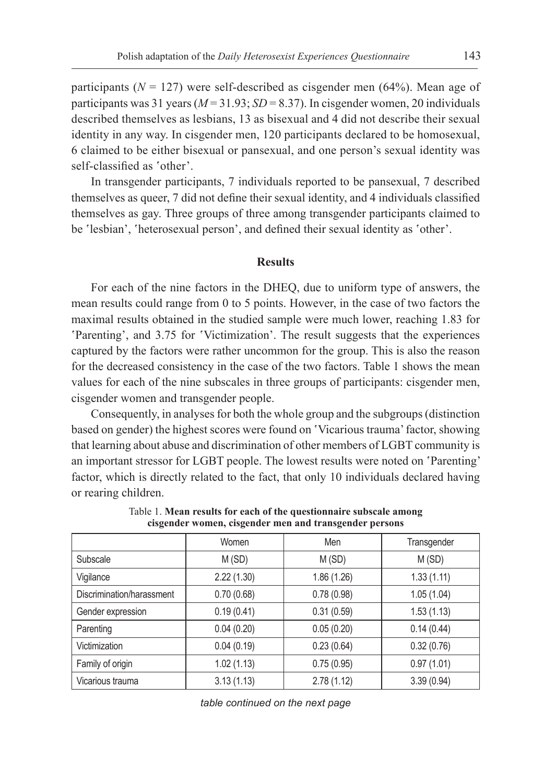participants ( $N = 127$ ) were self-described as cisgender men (64%). Mean age of participants was 31 years ( $M = 31.93$ ;  $SD = 8.37$ ). In cisgender women, 20 individuals described themselves as lesbians, 13 as bisexual and 4 did not describe their sexual identity in any way. In cisgender men, 120 participants declared to be homosexual, 6 claimed to be either bisexual or pansexual, and one person's sexual identity was self-classified as 'other'.

In transgender participants, 7 individuals reported to be pansexual, 7 described themselves as queer, 7 did not define their sexual identity, and 4 individuals classified themselves as gay. Three groups of three among transgender participants claimed to be 'lesbian', 'heterosexual person', and defined their sexual identity as 'other'.

# **Results**

For each of the nine factors in the DHEQ, due to uniform type of answers, the mean results could range from 0 to 5 points. However, in the case of two factors the maximal results obtained in the studied sample were much lower, reaching 1.83 for 'Parenting', and 3.75 for 'Victimization'. The result suggests that the experiences captured by the factors were rather uncommon for the group. This is also the reason for the decreased consistency in the case of the two factors. Table 1 shows the mean values for each of the nine subscales in three groups of participants: cisgender men, cisgender women and transgender people.

Consequently, in analyses for both the whole group and the subgroups (distinction based on gender) the highest scores were found on 'Vicarious trauma' factor, showing that learning about abuse and discrimination of other members of LGBT community is an important stressor for LGBT people. The lowest results were noted on 'Parenting' factor, which is directly related to the fact, that only 10 individuals declared having or rearing children.

|                           | Women      | Men         | Transgender |  |  |
|---------------------------|------------|-------------|-------------|--|--|
| Subscale                  | M(SD)      | M(SD)       | M (SD)      |  |  |
| Vigilance                 | 2.22(1.30) | 1.86 (1.26) | 1.33(1.11)  |  |  |
| Discrimination/harassment | 0.70(0.68) | 0.78(0.98)  | 1.05(1.04)  |  |  |
| Gender expression         | 0.19(0.41) | 0.31(0.59)  | 1.53(1.13)  |  |  |
| Parenting                 | 0.04(0.20) | 0.05(0.20)  | 0.14(0.44)  |  |  |
| Victimization             | 0.04(0.19) | 0.23(0.64)  | 0.32(0.76)  |  |  |
| Family of origin          | 1.02(1.13) | 0.75(0.95)  | 0.97(1.01)  |  |  |
| Vicarious trauma          | 3.13(1.13) | 2.78(1.12)  | 3.39(0.94)  |  |  |

Table 1. **Mean results for each of the questionnaire subscale among cisgender women, cisgender men and transgender persons**

*table continued on the next page*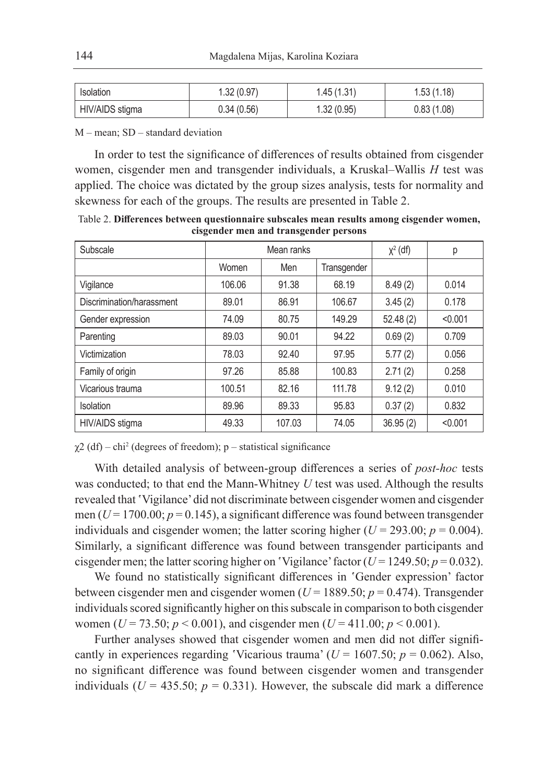| Isolation       | 1.32 (0.97) | 1.45(1.31) | 1.53 (1.18) |
|-----------------|-------------|------------|-------------|
| HIV/AIDS stigma | 0.34(0.56)  | 1.32(0.95) | 0.83(1.08)  |

M – mean; SD – standard deviation

In order to test the significance of differences of results obtained from cisgender women, cisgender men and transgender individuals, a Kruskal–Wallis *H* test was applied. The choice was dictated by the group sizes analysis, tests for normality and skewness for each of the groups. The results are presented in Table 2.

Table 2. **Differences between questionnaire subscales mean results among cisgender women, cisgender men and transgender persons**

| Subscale                  |        | Mean ranks         | $\chi^2$ (df) | р        |         |
|---------------------------|--------|--------------------|---------------|----------|---------|
|                           | Women  | Men<br>Transgender |               |          |         |
| Vigilance                 | 106.06 | 91.38              | 68.19         | 8.49(2)  | 0.014   |
| Discrimination/harassment | 89.01  | 86.91              | 106.67        |          | 0.178   |
| Gender expression         | 74.09  | 80.75              | 149.29        | 52.48(2) | < 0.001 |
| Parenting                 | 89.03  | 90.01              | 94.22         | 0.69(2)  | 0.709   |
| Victimization             | 78.03  | 92.40              | 97.95         | 5.77(2)  | 0.056   |
| Family of origin          | 97.26  | 85.88              | 100.83        | 2.71(2)  | 0.258   |
| Vicarious trauma          | 100.51 | 82.16              | 111.78        | 9.12(2)  | 0.010   |
| Isolation                 | 89.96  | 89.33              | 95.83         | 0.37(2)  | 0.832   |
| HIV/AIDS stigma           | 49.33  | 107.03             | 74.05         | 36.95(2) | < 0.001 |

 $\chi$ 2 (df) – chi<sup>2</sup> (degrees of freedom); p – statistical significance

With detailed analysis of between-group differences a series of *post-hoc* tests was conducted; to that end the Mann-Whitney *U* test was used. Although the results revealed that 'Vigilance' did not discriminate between cisgender women and cisgender men ( $U = 1700.00$ ;  $p = 0.145$ ), a significant difference was found between transgender individuals and cisgender women; the latter scoring higher ( $U = 293.00$ ;  $p = 0.004$ ). Similarly, a significant difference was found between transgender participants and cisgender men; the latter scoring higher on 'Vigilance' factor ( $U = 1249.50$ ;  $p = 0.032$ ).

We found no statistically significant differences in 'Gender expression' factor between cisgender men and cisgender women (*U* = 1889.50; *p* = 0.474). Transgender individuals scored significantly higher on this subscale in comparison to both cisgender women ( $U = 73.50$ ;  $p < 0.001$ ), and cisgender men ( $U = 411.00$ ;  $p < 0.001$ ).

Further analyses showed that cisgender women and men did not differ significantly in experiences regarding 'Vicarious trauma' ( $U = 1607.50$ ;  $p = 0.062$ ). Also, no significant difference was found between cisgender women and transgender individuals ( $U = 435.50$ ;  $p = 0.331$ ). However, the subscale did mark a difference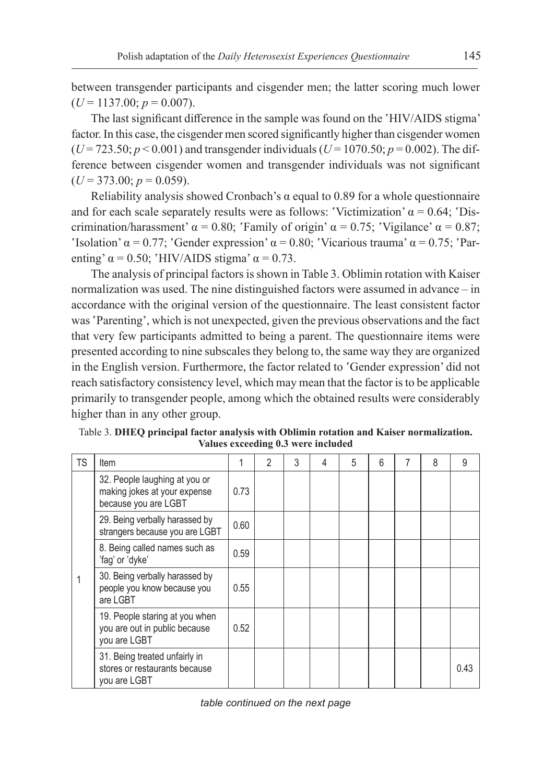between transgender participants and cisgender men; the latter scoring much lower  $(U = 1137.00; p = 0.007)$ .

The last significant difference in the sample was found on the 'HIV/AIDS stigma' factor. In this case, the cisgender men scored significantly higher than cisgender women  $(U = 723.50; p < 0.001)$  and transgender individuals  $(U = 1070.50; p = 0.002)$ . The difference between cisgender women and transgender individuals was not significant  $(U = 373.00; p = 0.059)$ .

Reliability analysis showed Cronbach's  $\alpha$  equal to 0.89 for a whole questionnaire and for each scale separately results were as follows: 'Victimization'  $\alpha = 0.64$ ; 'Discrimination/harassment'  $\alpha = 0.80$ ; 'Family of origin'  $\alpha = 0.75$ ; 'Vigilance'  $\alpha = 0.87$ ; 'Isolation'  $\alpha = 0.77$ ; 'Gender expression'  $\alpha = 0.80$ ; 'Vicarious trauma'  $\alpha = 0.75$ ; 'Parenting'  $\alpha = 0.50$ ; 'HIV/AIDS stigma'  $\alpha = 0.73$ .

The analysis of principal factors is shown in Table 3. Oblimin rotation with Kaiser normalization was used. The nine distinguished factors were assumed in advance – in accordance with the original version of the questionnaire. The least consistent factor was 'Parenting', which is not unexpected, given the previous observations and the fact that very few participants admitted to being a parent. The questionnaire items were presented according to nine subscales they belong to, the same way they are organized in the English version. Furthermore, the factor related to 'Gender expression' did not reach satisfactory consistency level, which may mean that the factor is to be applicable primarily to transgender people, among which the obtained results were considerably higher than in any other group.

| TS | Item                                                                                  |      | 2 | 3 | 4 | 5 | 6 | 8 | 9    |
|----|---------------------------------------------------------------------------------------|------|---|---|---|---|---|---|------|
|    | 32. People laughing at you or<br>making jokes at your expense<br>because you are LGBT | 0.73 |   |   |   |   |   |   |      |
|    | 29. Being verbally harassed by<br>strangers because you are LGBT                      | 0.60 |   |   |   |   |   |   |      |
|    | 8. Being called names such as<br>'fag' or 'dyke'                                      | 0.59 |   |   |   |   |   |   |      |
|    | 30. Being verbally harassed by<br>people you know because you<br>are LGBT             | 0.55 |   |   |   |   |   |   |      |
|    | 19. People staring at you when<br>you are out in public because<br>you are LGBT       | 0.52 |   |   |   |   |   |   |      |
|    | 31. Being treated unfairly in<br>stores or restaurants because<br>you are LGBT        |      |   |   |   |   |   |   | 0.43 |

Table 3. **DHEQ principal factor analysis with Oblimin rotation and Kaiser normalization. Values exceeding 0.3 were included**

*table continued on the next page*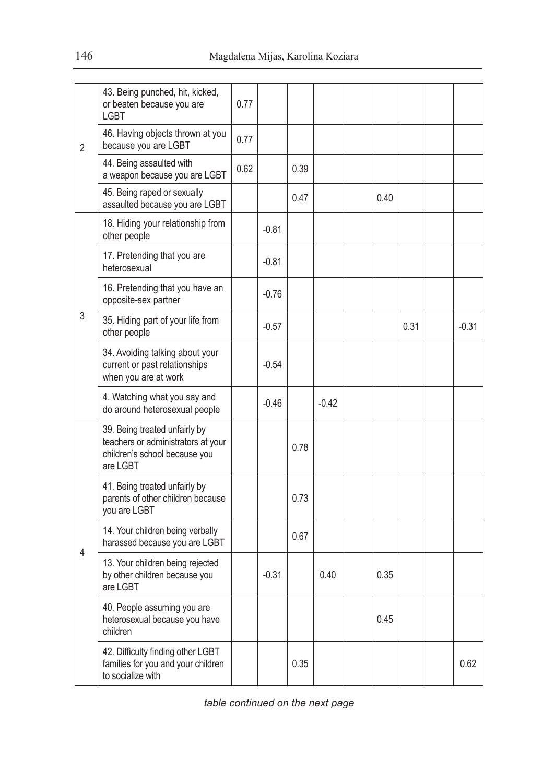| $\overline{2}$ | 43. Being punched, hit, kicked,<br>or beaten because you are<br><b>LGBT</b>                                      | 0.77 |         |      |         |      |      |         |
|----------------|------------------------------------------------------------------------------------------------------------------|------|---------|------|---------|------|------|---------|
|                | 46. Having objects thrown at you<br>because you are LGBT                                                         | 0.77 |         |      |         |      |      |         |
|                | 44. Being assaulted with<br>a weapon because you are LGBT                                                        | 0.62 |         | 0.39 |         |      |      |         |
|                | 45. Being raped or sexually<br>assaulted because you are LGBT                                                    |      |         | 0.47 |         | 0.40 |      |         |
|                | 18. Hiding your relationship from<br>other people                                                                |      | $-0.81$ |      |         |      |      |         |
|                | 17. Pretending that you are<br>heterosexual                                                                      |      | $-0.81$ |      |         |      |      |         |
|                | 16. Pretending that you have an<br>opposite-sex partner                                                          |      | $-0.76$ |      |         |      |      |         |
| 3              | 35. Hiding part of your life from<br>other people                                                                |      | $-0.57$ |      |         |      | 0.31 | $-0.31$ |
|                | 34. Avoiding talking about your<br>current or past relationships<br>when you are at work                         |      | $-0.54$ |      |         |      |      |         |
|                | 4. Watching what you say and<br>do around heterosexual people                                                    |      | $-0.46$ |      | $-0.42$ |      |      |         |
|                | 39. Being treated unfairly by<br>teachers or administrators at your<br>children's school because you<br>are LGBT |      |         | 0.78 |         |      |      |         |
|                | 41. Being treated unfairly by<br>parents of other children because<br>you are LGBT                               |      |         | 0.73 |         |      |      |         |
|                | 14. Your children being verbally<br>harassed because you are LGBT                                                |      |         | 0.67 |         |      |      |         |
| 4              | 13. Your children being rejected<br>by other children because you<br>are LGBT                                    |      | $-0.31$ |      | 0.40    | 0.35 |      |         |
|                | 40. People assuming you are<br>heterosexual because you have<br>children                                         |      |         |      |         | 0.45 |      |         |
|                | 42. Difficulty finding other LGBT<br>families for you and your children<br>to socialize with                     |      |         | 0.35 |         |      |      | 0.62    |

*table continued on the next page*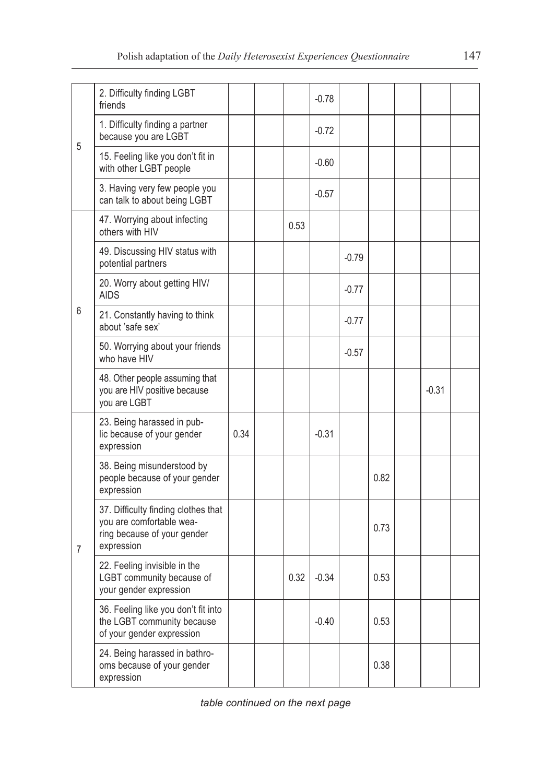|                | 2. Difficulty finding LGBT<br>friends                                                                        |      |      | $-0.78$ |         |      |         |  |
|----------------|--------------------------------------------------------------------------------------------------------------|------|------|---------|---------|------|---------|--|
| 5              | 1. Difficulty finding a partner<br>because you are LGBT                                                      |      |      | $-0.72$ |         |      |         |  |
|                | 15. Feeling like you don't fit in<br>with other LGBT people                                                  |      |      | $-0.60$ |         |      |         |  |
|                | 3. Having very few people you<br>can talk to about being LGBT                                                |      |      | $-0.57$ |         |      |         |  |
|                | 47. Worrying about infecting<br>others with HIV                                                              |      | 0.53 |         |         |      |         |  |
|                | 49. Discussing HIV status with<br>potential partners                                                         |      |      |         | $-0.79$ |      |         |  |
|                | 20. Worry about getting HIV/<br><b>AIDS</b>                                                                  |      |      |         | $-0.77$ |      |         |  |
| 6              | 21. Constantly having to think<br>about 'safe sex'                                                           |      |      |         | $-0.77$ |      |         |  |
|                | 50. Worrying about your friends<br>who have HIV                                                              |      |      |         | $-0.57$ |      |         |  |
|                | 48. Other people assuming that<br>you are HIV positive because<br>you are LGBT                               |      |      |         |         |      | $-0.31$ |  |
|                | 23. Being harassed in pub-<br>lic because of your gender<br>expression                                       | 0.34 |      | $-0.31$ |         |      |         |  |
|                | 38. Being misunderstood by<br>people because of your gender<br>expression                                    |      |      |         |         | 0.82 |         |  |
| $\overline{7}$ | 37. Difficulty finding clothes that<br>you are comfortable wea-<br>ring because of your gender<br>expression |      |      |         |         | 0.73 |         |  |
|                | 22. Feeling invisible in the<br>LGBT community because of<br>your gender expression                          |      | 0.32 | $-0.34$ |         | 0.53 |         |  |
|                | 36. Feeling like you don't fit into<br>the LGBT community because<br>of your gender expression               |      |      | $-0.40$ |         | 0.53 |         |  |
|                | 24. Being harassed in bathro-<br>oms because of your gender<br>expression                                    |      |      |         |         | 0.38 |         |  |

*table continued on the next page*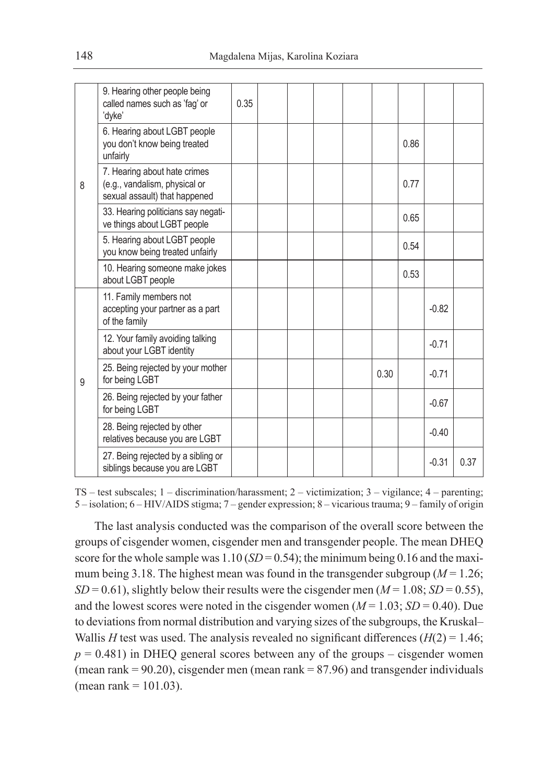| 8 | 9. Hearing other people being<br>called names such as 'fag' or<br>'dyke'                       | 0.35 |  |  |      |      |         |      |
|---|------------------------------------------------------------------------------------------------|------|--|--|------|------|---------|------|
|   | 6. Hearing about LGBT people<br>you don't know being treated<br>unfairly                       |      |  |  |      | 0.86 |         |      |
|   | 7. Hearing about hate crimes<br>(e.g., vandalism, physical or<br>sexual assault) that happened |      |  |  |      | 0.77 |         |      |
|   | 33. Hearing politicians say negati-<br>ve things about LGBT people                             |      |  |  |      | 0.65 |         |      |
|   | 5. Hearing about LGBT people<br>you know being treated unfairly                                |      |  |  |      | 0.54 |         |      |
|   | 10. Hearing someone make jokes<br>about LGBT people                                            |      |  |  |      | 0.53 |         |      |
| 9 | 11. Family members not<br>accepting your partner as a part<br>of the family                    |      |  |  |      |      | $-0.82$ |      |
|   | 12. Your family avoiding talking<br>about your LGBT identity                                   |      |  |  |      |      | $-0.71$ |      |
|   | 25. Being rejected by your mother<br>for being LGBT                                            |      |  |  | 0.30 |      | $-0.71$ |      |
|   | 26. Being rejected by your father<br>for being LGBT                                            |      |  |  |      |      | $-0.67$ |      |
|   | 28. Being rejected by other<br>relatives because you are LGBT                                  |      |  |  |      |      | $-0.40$ |      |
|   | 27. Being rejected by a sibling or<br>siblings because you are LGBT                            |      |  |  |      |      | $-0.31$ | 0.37 |

TS – test subscales; 1 – discrimination/harassment; 2 – victimization; 3 – vigilance; 4 – parenting; 5 – isolation; 6 – HIV/AIDS stigma; 7 – gender expression; 8 – vicarious trauma; 9 – family of origin

The last analysis conducted was the comparison of the overall score between the groups of cisgender women, cisgender men and transgender people. The mean DHEQ score for the whole sample was  $1.10$  (*SD* = 0.54); the minimum being 0.16 and the maximum being 3.18. The highest mean was found in the transgender subgroup ( $M = 1.26$ ;  $SD = 0.61$ ), slightly below their results were the cisgender men ( $M = 1.08$ ;  $SD = 0.55$ ), and the lowest scores were noted in the cisgender women  $(M = 1.03; SD = 0.40)$ . Due to deviations from normal distribution and varying sizes of the subgroups, the Kruskal– Wallis *H* test was used. The analysis revealed no significant differences  $(H(2) = 1.46;$  $p = 0.481$ ) in DHEQ general scores between any of the groups – cisgender women (mean rank  $= 90.20$ ), cisgender men (mean rank  $= 87.96$ ) and transgender individuals (mean rank =  $101.03$ ).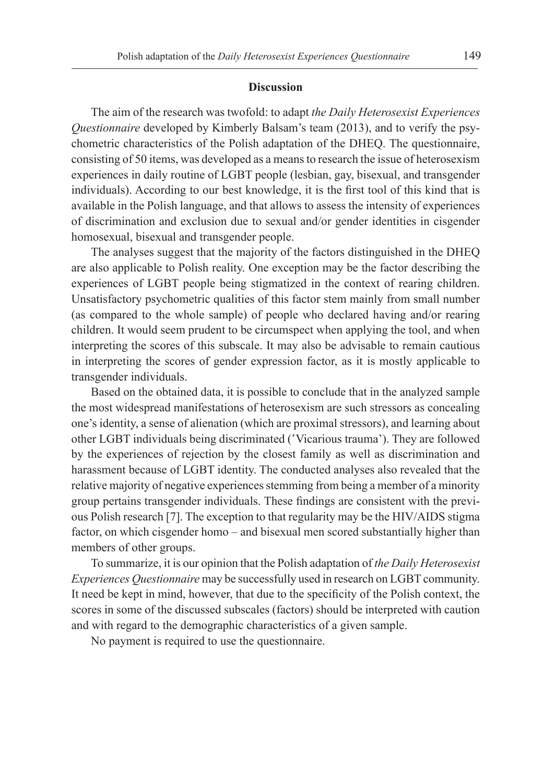#### **Discussion**

The aim of the research was twofold: to adapt *the Daily Heterosexist Experiences Questionnaire* developed by Kimberly Balsam's team (2013), and to verify the psychometric characteristics of the Polish adaptation of the DHEQ. The questionnaire, consisting of 50 items, was developed as a means to research the issue of heterosexism experiences in daily routine of LGBT people (lesbian, gay, bisexual, and transgender individuals). According to our best knowledge, it is the first tool of this kind that is available in the Polish language, and that allows to assess the intensity of experiences of discrimination and exclusion due to sexual and/or gender identities in cisgender homosexual, bisexual and transgender people.

The analyses suggest that the majority of the factors distinguished in the DHEQ are also applicable to Polish reality. One exception may be the factor describing the experiences of LGBT people being stigmatized in the context of rearing children. Unsatisfactory psychometric qualities of this factor stem mainly from small number (as compared to the whole sample) of people who declared having and/or rearing children. It would seem prudent to be circumspect when applying the tool, and when interpreting the scores of this subscale. It may also be advisable to remain cautious in interpreting the scores of gender expression factor, as it is mostly applicable to transgender individuals.

Based on the obtained data, it is possible to conclude that in the analyzed sample the most widespread manifestations of heterosexism are such stressors as concealing one's identity, a sense of alienation (which are proximal stressors), and learning about other LGBT individuals being discriminated ('Vicarious trauma'). They are followed by the experiences of rejection by the closest family as well as discrimination and harassment because of LGBT identity. The conducted analyses also revealed that the relative majority of negative experiences stemming from being a member of a minority group pertains transgender individuals. These findings are consistent with the previous Polish research [7]. The exception to that regularity may be the HIV/AIDS stigma factor, on which cisgender homo – and bisexual men scored substantially higher than members of other groups.

To summarize, it is our opinion that the Polish adaptation of *the Daily Heterosexist Experiences Questionnaire* may be successfully used in research on LGBT community. It need be kept in mind, however, that due to the specificity of the Polish context, the scores in some of the discussed subscales (factors) should be interpreted with caution and with regard to the demographic characteristics of a given sample.

No payment is required to use the questionnaire.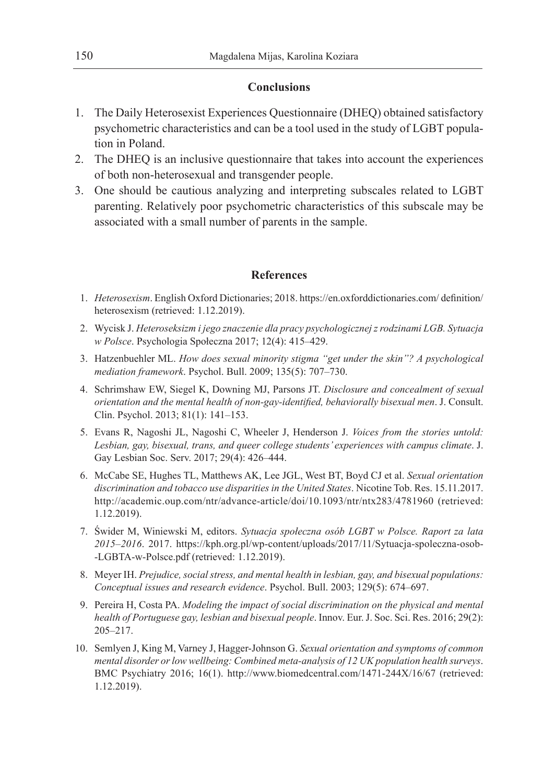## **Conclusions**

- 1. The Daily Heterosexist Experiences Questionnaire (DHEQ) obtained satisfactory psychometric characteristics and can be a tool used in the study of LGBT population in Poland.
- 2. The DHEQ is an inclusive questionnaire that takes into account the experiences of both non-heterosexual and transgender people.
- 3. One should be cautious analyzing and interpreting subscales related to LGBT parenting. Relatively poor psychometric characteristics of this subscale may be associated with a small number of parents in the sample.

## **References**

- 1. *Heterosexism*. English Oxford Dictionaries; 2018. https://en.oxforddictionaries.com/ definition/ heterosexism (retrieved: 1.12.2019).
- 2. Wycisk J. *Heteroseksizm i jego znaczenie dla pracy psychologicznej z rodzinami LGB. Sytuacja w Polsce*. Psychologia Społeczna 2017; 12(4): 415–429.
- 3. Hatzenbuehler ML. *How does sexual minority stigma "get under the skin"? A psychological mediation framework*. Psychol. Bull. 2009; 135(5): 707–730.
- 4. Schrimshaw EW, Siegel K, Downing MJ, Parsons JT. *Disclosure and concealment of sexual orientation and the mental health of non-gay-identified, behaviorally bisexual men*. J. Consult. Clin. Psychol. 2013; 81(1): 141–153.
- 5. Evans R, Nagoshi JL, Nagoshi C, Wheeler J, Henderson J. *Voices from the stories untold: Lesbian, gay, bisexual, trans, and queer college students' experiences with campus climate*. J. Gay Lesbian Soc. Serv. 2017; 29(4): 426–444.
- 6. McCabe SE, Hughes TL, Matthews AK, Lee JGL, West BT, Boyd CJ et al. *Sexual orientation discrimination and tobacco use disparities in the United States*. Nicotine Tob. Res. 15.11.2017. http://academic.oup.com/ntr/advance-article/doi/10.1093/ntr/ntx283/4781960 (retrieved: 1.12.2019).
- 7. Świder M, Winiewski M, editors. *Sytuacja społeczna osób LGBT w Polsce. Raport za lata 2015–2016*. 2017. https://kph.org.pl/wp-content/uploads/2017/11/Sytuacja-spoleczna-osob- -LGBTA-w-Polsce.pdf (retrieved: 1.12.2019).
- 8. Meyer IH. *Prejudice, social stress, and mental health in lesbian, gay, and bisexual populations: Conceptual issues and research evidence*. Psychol. Bull. 2003; 129(5): 674–697.
- 9. Pereira H, Costa PA. *Modeling the impact of social discrimination on the physical and mental health of Portuguese gay, lesbian and bisexual people*. Innov. Eur. J. Soc. Sci. Res. 2016; 29(2): 205–217.
- 10. Semlyen J, King M, Varney J, Hagger-Johnson G. *Sexual orientation and symptoms of common mental disorder or low wellbeing: Combined meta-analysis of 12 UK population health surveys*. BMC Psychiatry 2016; 16(1). http://www.biomedcentral.com/1471-244X/16/67 (retrieved: 1.12.2019).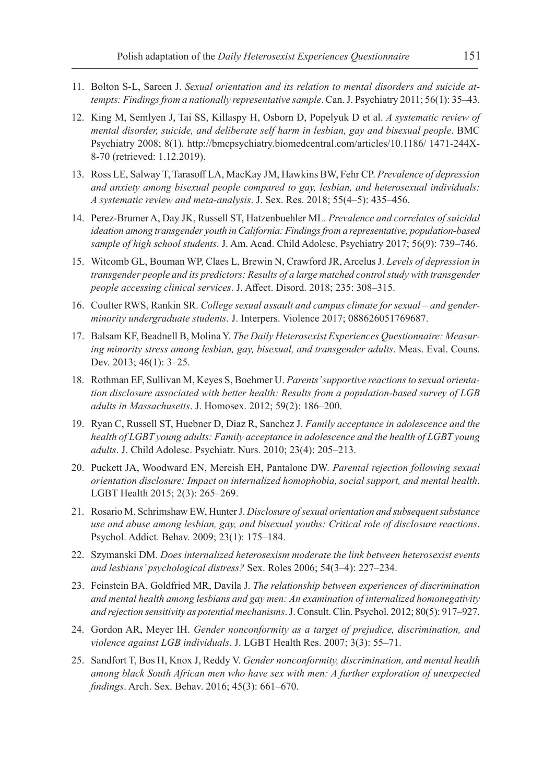- 11. Bolton S-L, Sareen J. *Sexual orientation and its relation to mental disorders and suicide attempts: Findings from a nationally representative sample*. Can. J. Psychiatry 2011; 56(1): 35–43.
- 12. King M, Semlyen J, Tai SS, Killaspy H, Osborn D, Popelyuk D et al. *A systematic review of mental disorder, suicide, and deliberate self harm in lesbian, gay and bisexual people*. BMC Psychiatry 2008; 8(1). http://bmcpsychiatry.biomedcentral.com/articles/10.1186/ 1471-244X-8-70 (retrieved: 1.12.2019).
- 13. Ross LE, Salway T, Tarasoff LA, MacKay JM, Hawkins BW, Fehr CP. *Prevalence of depression and anxiety among bisexual people compared to gay, lesbian, and heterosexual individuals: A systematic review and meta-analysis*. J. Sex. Res. 2018; 55(4–5): 435–456.
- 14. Perez-Brumer A, Day JK, Russell ST, Hatzenbuehler ML. *Prevalence and correlates of suicidal ideation among transgender youth in California: Findings from a representative, population-based sample of high school students*. J. Am. Acad. Child Adolesc. Psychiatry 2017; 56(9): 739–746.
- 15. Witcomb GL, Bouman WP, Claes L, Brewin N, Crawford JR, Arcelus J. *Levels of depression in transgender people and its predictors: Results of a large matched control study with transgender people accessing clinical services*. J. Affect. Disord. 2018; 235: 308–315.
- 16. Coulter RWS, Rankin SR. *College sexual assault and campus climate for sexual and genderminority undergraduate students*. J. Interpers. Violence 2017; 088626051769687.
- 17. Balsam KF, Beadnell B, Molina Y. *The Daily Heterosexist Experiences Questionnaire: Measuring minority stress among lesbian, gay, bisexual, and transgender adults*. Meas. Eval. Couns. Dev. 2013; 46(1): 3–25.
- 18. Rothman EF, Sullivan M, Keyes S, Boehmer U. *Parents' supportive reactions to sexual orientation disclosure associated with better health: Results from a population-based survey of LGB adults in Massachusetts*. J. Homosex. 2012; 59(2): 186–200.
- 19. Ryan C, Russell ST, Huebner D, Diaz R, Sanchez J. *Family acceptance in adolescence and the health of LGBT young adults: Family acceptance in adolescence and the health of LGBT young adults*. J. Child Adolesc. Psychiatr. Nurs. 2010; 23(4): 205–213.
- 20. Puckett JA, Woodward EN, Mereish EH, Pantalone DW. *Parental rejection following sexual orientation disclosure: Impact on internalized homophobia, social support, and mental health*. LGBT Health 2015; 2(3): 265–269.
- 21. Rosario M, Schrimshaw EW, Hunter J. *Disclosure of sexual orientation and subsequent substance use and abuse among lesbian, gay, and bisexual youths: Critical role of disclosure reactions*. Psychol. Addict. Behav. 2009; 23(1): 175–184.
- 22. Szymanski DM. *Does internalized heterosexism moderate the link between heterosexist events and lesbians' psychological distress?* Sex. Roles 2006; 54(3–4): 227–234.
- 23. Feinstein BA, Goldfried MR, Davila J. *The relationship between experiences of discrimination and mental health among lesbians and gay men: An examination of internalized homonegativity and rejection sensitivity as potential mechanisms*. J. Consult. Clin. Psychol. 2012; 80(5): 917–927.
- 24. Gordon AR, Meyer IH. *Gender nonconformity as a target of prejudice, discrimination, and violence against LGB individuals*. J. LGBT Health Res. 2007; 3(3): 55–71.
- 25. Sandfort T, Bos H, Knox J, Reddy V. *Gender nonconformity, discrimination, and mental health among black South African men who have sex with men: A further exploration of unexpected findings*. Arch. Sex. Behav. 2016; 45(3): 661–670.